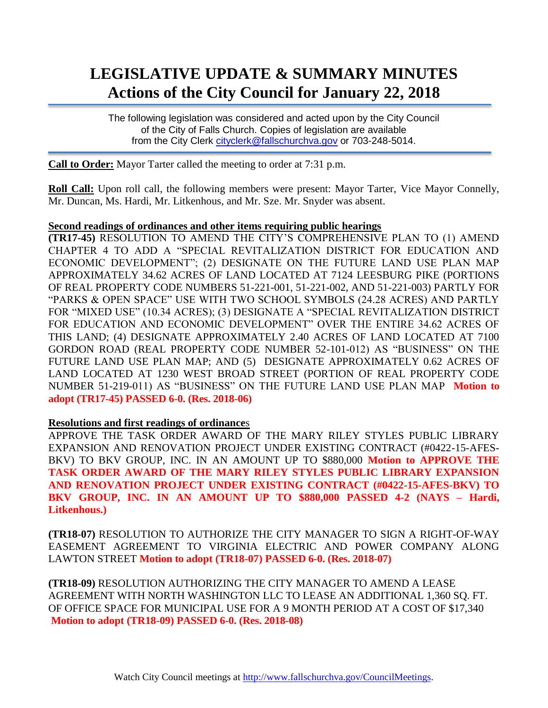# **LEGISLATIVE UPDATE & SUMMARY MINUTES Actions of the City Council for January 22, 2018**

The following legislation was considered and acted upon by the City Council of the City of Falls Church. Copies of legislation are available from the City Clerk [cityclerk@fallschurchva.gov](mailto:cityclerk@fallschurchva.gov) or 703-248-5014.

**Call to Order:** Mayor Tarter called the meeting to order at 7:31 p.m.

**Roll Call:** Upon roll call, the following members were present: Mayor Tarter, Vice Mayor Connelly, Mr. Duncan, Ms. Hardi, Mr. Litkenhous, and Mr. Sze. Mr. Snyder was absent.

#### **Second readings of ordinances and other items requiring public hearings**

**(TR17-45)** RESOLUTION TO AMEND THE CITY'S COMPREHENSIVE PLAN TO (1) AMEND CHAPTER 4 TO ADD A "SPECIAL REVITALIZATION DISTRICT FOR EDUCATION AND ECONOMIC DEVELOPMENT"; (2) DESIGNATE ON THE FUTURE LAND USE PLAN MAP APPROXIMATELY 34.62 ACRES OF LAND LOCATED AT 7124 LEESBURG PIKE (PORTIONS OF REAL PROPERTY CODE NUMBERS 51-221-001, 51-221-002, AND 51-221-003) PARTLY FOR "PARKS & OPEN SPACE" USE WITH TWO SCHOOL SYMBOLS (24.28 ACRES) AND PARTLY FOR "MIXED USE" (10.34 ACRES); (3) DESIGNATE A "SPECIAL REVITALIZATION DISTRICT FOR EDUCATION AND ECONOMIC DEVELOPMENT" OVER THE ENTIRE 34.62 ACRES OF THIS LAND; (4) DESIGNATE APPROXIMATELY 2.40 ACRES OF LAND LOCATED AT 7100 GORDON ROAD (REAL PROPERTY CODE NUMBER 52-101-012) AS "BUSINESS" ON THE FUTURE LAND USE PLAN MAP; AND (5) DESIGNATE APPROXIMATELY 0.62 ACRES OF LAND LOCATED AT 1230 WEST BROAD STREET (PORTION OF REAL PROPERTY CODE NUMBER 51-219-011) AS "BUSINESS" ON THE FUTURE LAND USE PLAN MAP **Motion to adopt (TR17-45) PASSED 6-0. (Res. 2018-06)**

#### **Resolutions and first readings of ordinance**s

APPROVE THE TASK ORDER AWARD OF THE MARY RILEY STYLES PUBLIC LIBRARY EXPANSION AND RENOVATION PROJECT UNDER EXISTING CONTRACT (#0422-15-AFES-BKV) TO BKV GROUP, INC. IN AN AMOUNT UP TO \$880,000 **Motion to APPROVE THE TASK ORDER AWARD OF THE MARY RILEY STYLES PUBLIC LIBRARY EXPANSION AND RENOVATION PROJECT UNDER EXISTING CONTRACT (#0422-15-AFES-BKV) TO BKV GROUP, INC. IN AN AMOUNT UP TO \$880,000 PASSED 4-2 (NAYS – Hardi, Litkenhous.)**

**(TR18-07)** RESOLUTION TO AUTHORIZE THE CITY MANAGER TO SIGN A RIGHT-OF-WAY EASEMENT AGREEMENT TO VIRGINIA ELECTRIC AND POWER COMPANY ALONG LAWTON STREET **Motion to adopt (TR18-07) PASSED 6-0. (Res. 2018-07)**

**(TR18-09)** RESOLUTION AUTHORIZING THE CITY MANAGER TO AMEND A LEASE AGREEMENT WITH NORTH WASHINGTON LLC TO LEASE AN ADDITIONAL 1,360 SQ. FT. OF OFFICE SPACE FOR MUNICIPAL USE FOR A 9 MONTH PERIOD AT A COST OF \$17,340 **Motion to adopt (TR18-09) PASSED 6-0. (Res. 2018-08)**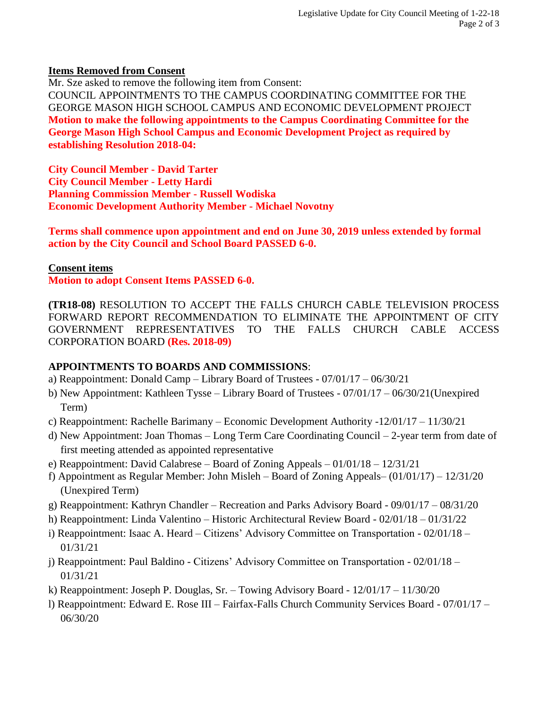### **Items Removed from Consent**

Mr. Sze asked to remove the following item from Consent: COUNCIL APPOINTMENTS TO THE CAMPUS COORDINATING COMMITTEE FOR THE GEORGE MASON HIGH SCHOOL CAMPUS AND ECONOMIC DEVELOPMENT PROJECT **Motion to make the following appointments to the Campus Coordinating Committee for the George Mason High School Campus and Economic Development Project as required by establishing Resolution 2018-04:**

**City Council Member - David Tarter City Council Member - Letty Hardi Planning Commission Member - Russell Wodiska Economic Development Authority Member - Michael Novotny**

**Terms shall commence upon appointment and end on June 30, 2019 unless extended by formal action by the City Council and School Board PASSED 6-0.**

### **Consent items**

**Motion to adopt Consent Items PASSED 6-0.**

**(TR18-08)** RESOLUTION TO ACCEPT THE FALLS CHURCH CABLE TELEVISION PROCESS FORWARD REPORT RECOMMENDATION TO ELIMINATE THE APPOINTMENT OF CITY GOVERNMENT REPRESENTATIVES TO THE FALLS CHURCH CABLE ACCESS CORPORATION BOARD **(Res. 2018-09)**

## **APPOINTMENTS TO BOARDS AND COMMISSIONS**:

- a) Reappointment: Donald Camp Library Board of Trustees 07/01/17 06/30/21
- b) New Appointment: Kathleen Tysse Library Board of Trustees 07/01/17 06/30/21(Unexpired Term)
- c) Reappointment: Rachelle Barimany Economic Development Authority -12/01/17 11/30/21
- d) New Appointment: Joan Thomas Long Term Care Coordinating Council 2-year term from date of first meeting attended as appointed representative
- e) Reappointment: David Calabrese Board of Zoning Appeals 01/01/18 12/31/21
- f) Appointment as Regular Member: John Misleh Board of Zoning Appeals– (01/01/17) 12/31/20 (Unexpired Term)
- g) Reappointment: Kathryn Chandler Recreation and Parks Advisory Board 09/01/17 08/31/20
- h) Reappointment: Linda Valentino Historic Architectural Review Board 02/01/18 01/31/22
- i) Reappointment: Isaac A. Heard Citizens' Advisory Committee on Transportation 02/01/18 01/31/21
- j) Reappointment: Paul Baldino Citizens' Advisory Committee on Transportation 02/01/18 01/31/21
- k) Reappointment: Joseph P. Douglas, Sr. Towing Advisory Board 12/01/17 11/30/20
- l) Reappointment: Edward E. Rose III Fairfax-Falls Church Community Services Board 07/01/17 06/30/20